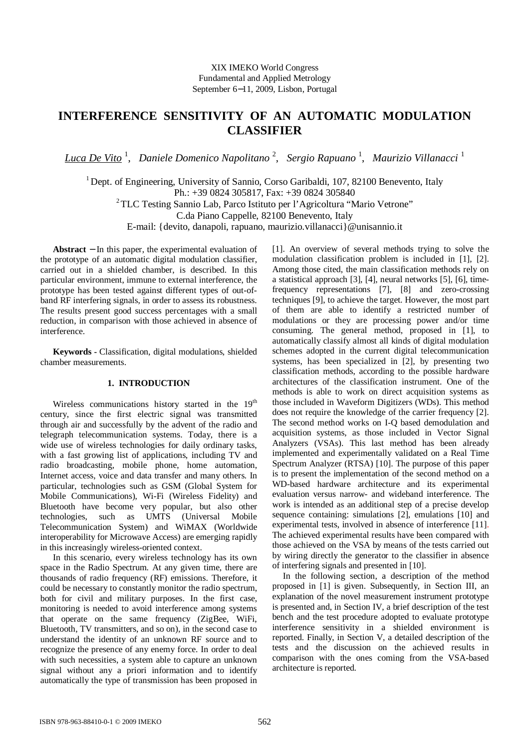# **INTERFERENCE SENSITIVITY OF AN AUTOMATIC MODULATION CLASSIFIER**

*Luca De Vito* <sup>1</sup> , *Daniele Domenico Napolitano* <sup>2</sup> , *Sergio Rapuano* <sup>1</sup> , *Maurizio Villanacci* <sup>1</sup>

<sup>1</sup> Dept. of Engineering, University of Sannio, Corso Garibaldi, 107, 82100 Benevento, Italy

Ph.: +39 0824 305817, Fax: +39 0824 305840

<sup>2</sup>TLC Testing Sannio Lab, Parco Istituto per l'Agricoltura "Mario Vetrone"

C.da Piano Cappelle, 82100 Benevento, Italy

E-mail: {devito, danapoli, rapuano, maurizio.villanacci}@unisannio.it

**Abstract** − In this paper, the experimental evaluation of the prototype of an automatic digital modulation classifier, carried out in a shielded chamber, is described. In this particular environment, immune to external interference, the prototype has been tested against different types of out-ofband RF interfering signals, in order to assess its robustness. The results present good success percentages with a small reduction, in comparison with those achieved in absence of interference.

**Keywords -** Classification, digital modulations, shielded chamber measurements.

## **1. INTRODUCTION**

Wireless communications history started in the 19<sup>th</sup> century, since the first electric signal was transmitted through air and successfully by the advent of the radio and telegraph telecommunication systems. Today, there is a wide use of wireless technologies for daily ordinary tasks, with a fast growing list of applications, including TV and radio broadcasting, mobile phone, home automation, Internet access, voice and data transfer and many others. In particular, technologies such as GSM (Global System for Mobile Communications), Wi-Fi (Wireless Fidelity) and Bluetooth have become very popular, but also other technologies, such as UMTS (Universal Mobile Telecommunication System) and WiMAX (Worldwide interoperability for Microwave Access) are emerging rapidly in this increasingly wireless-oriented context.

In this scenario, every wireless technology has its own space in the Radio Spectrum. At any given time, there are thousands of radio frequency (RF) emissions. Therefore, it could be necessary to constantly monitor the radio spectrum, both for civil and military purposes. In the first case, monitoring is needed to avoid interference among systems that operate on the same frequency (ZigBee, WiFi, Bluetooth, TV transmitters, and so on), in the second case to understand the identity of an unknown RF source and to recognize the presence of any enemy force. In order to deal with such necessities, a system able to capture an unknown signal without any a priori information and to identify automatically the type of transmission has been proposed in

[1]. An overview of several methods trying to solve the modulation classification problem is included in [1], [2]. Among those cited, the main classification methods rely on a statistical approach [3], [4], neural networks [5], [6], timefrequency representations [7], [8] and zero-crossing techniques [9], to achieve the target. However, the most part of them are able to identify a restricted number of modulations or they are processing power and/or time consuming. The general method, proposed in [1], to automatically classify almost all kinds of digital modulation schemes adopted in the current digital telecommunication systems, has been specialized in [2], by presenting two classification methods, according to the possible hardware architectures of the classification instrument. One of the methods is able to work on direct acquisition systems as those included in Waveform Digitizers (WDs). This method does not require the knowledge of the carrier frequency [2]. The second method works on I-Q based demodulation and acquisition systems, as those included in Vector Signal Analyzers (VSAs). This last method has been already implemented and experimentally validated on a Real Time Spectrum Analyzer (RTSA) [10]. The purpose of this paper is to present the implementation of the second method on a WD-based hardware architecture and its experimental evaluation versus narrow- and wideband interference. The work is intended as an additional step of a precise develop sequence containing: simulations [2], emulations [10] and experimental tests, involved in absence of interference [11]. The achieved experimental results have been compared with those achieved on the VSA by means of the tests carried out by wiring directly the generator to the classifier in absence of interfering signals and presented in [10].

In the following section, a description of the method proposed in [1] is given. Subsequently, in Section III, an explanation of the novel measurement instrument prototype is presented and, in Section IV, a brief description of the test bench and the test procedure adopted to evaluate prototype interference sensitivity in a shielded environment is reported. Finally, in Section V, a detailed description of the tests and the discussion on the achieved results in comparison with the ones coming from the VSA-based architecture is reported.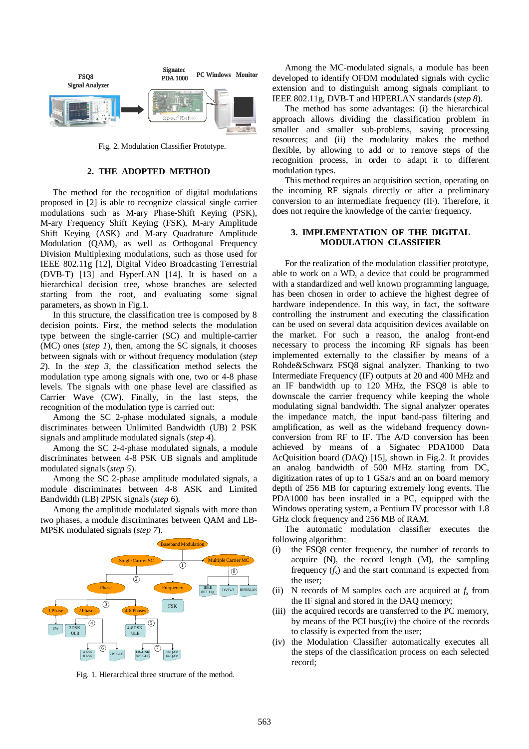

Fig. 2. Modulation Classifier Prototype.

#### **2. THE ADOPTED METHOD**

The method for the recognition of digital modulations proposed in [2] is able to recognize classical single carrier modulations such as M-ary Phase-Shift Keying (PSK), M-ary Frequency Shift Keying (FSK), M-ary Amplitude Shift Keying (ASK) and M-ary Quadrature Amplitude Modulation (QAM), as well as Orthogonal Frequency Division Multiplexing modulations, such as those used for IEEE 802.11g [12], Digital Video Broadcasting Terrestrial (DVB-T) [13] and HyperLAN [14]. It is based on a hierarchical decision tree, whose branches are selected starting from the root, and evaluating some signal parameters, as shown in Fig.1.

In this structure, the classification tree is composed by 8 decision points. First, the method selects the modulation type between the single-carrier (SC) and multiple-carrier (MC) ones (*step 1*), then, among the SC signals, it chooses between signals with or without frequency modulation (*step 2*). In the *step 3,* the classification method selects the modulation type among signals with one, two or 4-8 phase levels. The signals with one phase level are classified as Carrier Wave (CW). Finally, in the last steps, the recognition of the modulation type is carried out:

Among the SC 2-phase modulated signals, a module discriminates between Unlimited Bandwidth (UB) 2 PSK signals and amplitude modulated signals (*step 4*).

Among the SC 2-4-phase modulated signals, a module discriminates between 4-8 PSK UB signals and amplitude modulated signals (*step 5*).

Among the SC 2-phase amplitude modulated signals, a module discriminates between 4-8 ASK and Limited Bandwidth (LB) 2PSK signals (*step 6*).

Among the amplitude modulated signals with more than two phases, a module discriminates between QAM and LB-MPSK modulated signals (*step 7*).



Fig. 1. Hierarchical three structure of the method.

Among the MC-modulated signals, a module has been developed to identify OFDM modulated signals with cyclic extension and to distinguish among signals compliant to IEEE 802.11g, DVB-T and HIPERLAN standards (*step 8*).

The method has some advantages: (i) the hierarchical approach allows dividing the classification problem in smaller and smaller sub-problems, saving processing resources; and (ii) the modularity makes the method flexible, by allowing to add or to remove steps of the recognition process, in order to adapt it to different modulation types.

This method requires an acquisition section, operating on the incoming RF signals directly or after a preliminary conversion to an intermediate frequency (IF). Therefore, it does not require the knowledge of the carrier frequency.

#### **3. IMPLEMENTATION OF THE DIGITAL MODULATION CLASSIFIER**

For the realization of the modulation classifier prototype, able to work on a WD, a device that could be programmed with a standardized and well known programming language, has been chosen in order to achieve the highest degree of hardware independence. In this way, in fact, the software controlling the instrument and executing the classification can be used on several data acquisition devices available on the market. For such a reason, the analog front-end necessary to process the incoming RF signals has been implemented externally to the classifier by means of a Rohde&Schwarz FSQ8 signal analyzer. Thanking to two Intermediate Frequency (IF) outputs at 20 and 400 MHz and an IF bandwidth up to 120 MHz, the FSQ8 is able to downscale the carrier frequency while keeping the whole modulating signal bandwidth. The signal analyzer operates the impedance match, the input band-pass filtering and amplification, as well as the wideband frequency downconversion from RF to IF. The A/D conversion has been achieved by means of a Signatec PDA1000 Data AcQuisition board (DAQ) [15], shown in Fig.2. It provides an analog bandwidth of 500 MHz starting from DC, digitization rates of up to 1 GSa/s and an on board memory depth of 256 MB for capturing extremely long events. The PDA1000 has been installed in a PC, equipped with the Windows operating system, a Pentium IV processor with 1.8 GHz clock frequency and 256 MB of RAM.

The automatic modulation classifier executes the following algorithm:

- (i) the FSQ8 center frequency, the number of records to acquire (N), the record length (M), the sampling frequency  $(f_s)$  and the start command is expected from the user;
- (ii) N records of M samples each are acquired at  $f_s$  from the IF signal and stored in the DAQ memory;
- (iii) the acquired records are transferred to the PC memory, by means of the PCI bus;(iv) the choice of the records to classify is expected from the user;
- (iv) the Modulation Classifier automatically executes all the steps of the classification process on each selected record;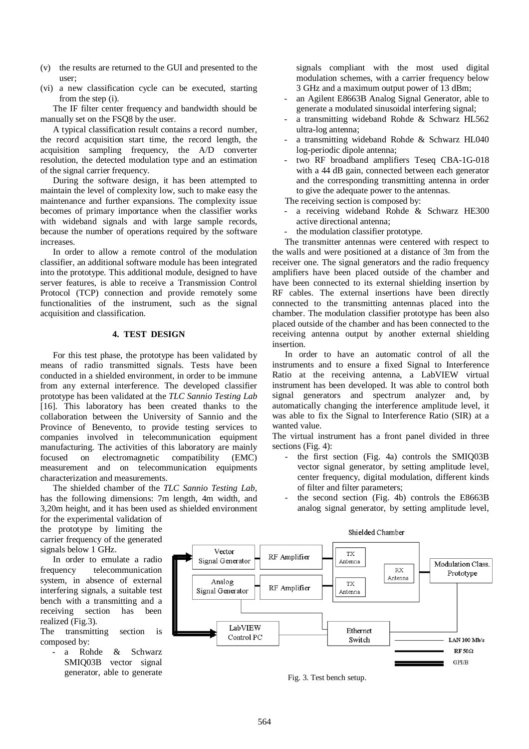- (v) the results are returned to the GUI and presented to the user;
- (vi) a new classification cycle can be executed, starting from the step (i).

The IF filter center frequency and bandwidth should be manually set on the FSQ8 by the user.

A typical classification result contains a record number, the record acquisition start time, the record length, the acquisition sampling frequency, the A/D converter resolution, the detected modulation type and an estimation of the signal carrier frequency.

During the software design, it has been attempted to maintain the level of complexity low, such to make easy the maintenance and further expansions. The complexity issue becomes of primary importance when the classifier works with wideband signals and with large sample records, because the number of operations required by the software increases.

In order to allow a remote control of the modulation classifier, an additional software module has been integrated into the prototype. This additional module, designed to have server features, is able to receive a Transmission Control Protocol (TCP) connection and provide remotely some functionalities of the instrument, such as the signal acquisition and classification.

# **4. TEST DESIGN**

For this test phase, the prototype has been validated by means of radio transmitted signals. Tests have been conducted in a shielded environment, in order to be immune from any external interference. The developed classifier prototype has been validated at the *TLC Sannio Testing Lab* [16]. This laboratory has been created thanks to the collaboration between the University of Sannio and the Province of Benevento, to provide testing services to companies involved in telecommunication equipment manufacturing. The activities of this laboratory are mainly focused on electromagnetic compatibility (EMC) measurement and on telecommunication equipments characterization and measurements.

The shielded chamber of the *TLC Sannio Testing Lab*, has the following dimensions: 7m length, 4m width, and 3,20m height, and it has been used as shielded environment

for the experimental validation of the prototype by limiting the carrier frequency of the generated signals below 1 GHz.

In order to emulate a radio frequency telecommunication system, in absence of external interfering signals, a suitable test bench with a transmitting and a receiving section has been realized (Fig.3).

The transmitting section is composed by:

- a Rohde & Schwarz SMIQ03B vector signal generator, able to generate signals compliant with the most used digital modulation schemes, with a carrier frequency below 3 GHz and a maximum output power of 13 dBm;

- an Agilent E8663B Analog Signal Generator, able to generate a modulated sinusoidal interfering signal;
- a transmitting wideband Rohde & Schwarz HL562 ultra-log antenna;
- a transmitting wideband Rohde & Schwarz HL040 log-periodic dipole antenna;
- two RF broadband amplifiers Teseq CBA-1G-018 with a 44 dB gain, connected between each generator and the corresponding transmitting antenna in order to give the adequate power to the antennas.

The receiving section is composed by:

- a receiving wideband Rohde & Schwarz HE300 active directional antenna;
- the modulation classifier prototype.

The transmitter antennas were centered with respect to the walls and were positioned at a distance of 3m from the receiver one. The signal generators and the radio frequency amplifiers have been placed outside of the chamber and have been connected to its external shielding insertion by RF cables. The external insertions have been directly connected to the transmitting antennas placed into the chamber. The modulation classifier prototype has been also placed outside of the chamber and has been connected to the receiving antenna output by another external shielding insertion.

In order to have an automatic control of all the instruments and to ensure a fixed Signal to Interference Ratio at the receiving antenna, a LabVIEW virtual instrument has been developed. It was able to control both signal generators and spectrum analyzer and, by automatically changing the interference amplitude level, it was able to fix the Signal to Interference Ratio (SIR) at a wanted value.

The virtual instrument has a front panel divided in three sections (Fig. 4):

- the first section (Fig. 4a) controls the SMIQ03B vector signal generator, by setting amplitude level, center frequency, digital modulation, different kinds of filter and filter parameters;
- the second section (Fig. 4b) controls the  $E8663B$ analog signal generator, by setting amplitude level,



Fig. 3. Test bench setup.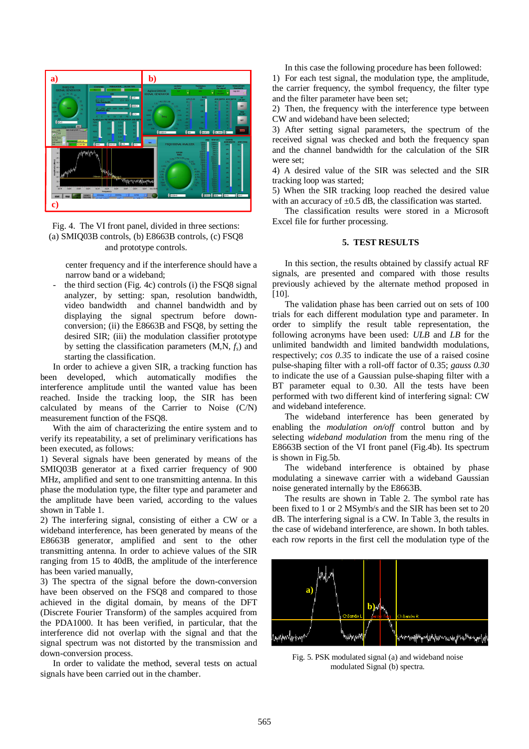

Fig. 4. The VI front panel, divided in three sections: (a) SMIQ03B controls, (b) E8663B controls, (c) FSQ8 and prototype controls.

center frequency and if the interference should have a narrow band or a wideband;

the third section (Fig. 4c) controls (i) the FSO8 signal analyzer, by setting: span, resolution bandwidth, video bandwidth and channel bandwidth and by displaying the signal spectrum before downconversion; (ii) the E8663B and FSQ8, by setting the desired SIR; (iii) the modulation classifier prototype by setting the classification parameters (M,N, *fs*) and starting the classification.

In order to achieve a given SIR, a tracking function has been developed, which automatically modifies the interference amplitude until the wanted value has been reached. Inside the tracking loop, the SIR has been calculated by means of the Carrier to Noise (C/N) measurement function of the FSQ8.

With the aim of characterizing the entire system and to verify its repeatability, a set of preliminary verifications has been executed, as follows:

1) Several signals have been generated by means of the SMIQ03B generator at a fixed carrier frequency of 900 MHz, amplified and sent to one transmitting antenna. In this phase the modulation type, the filter type and parameter and the amplitude have been varied, according to the values shown in Table 1.

2) The interfering signal, consisting of either a CW or a wideband interference, has been generated by means of the E8663B generator, amplified and sent to the other transmitting antenna. In order to achieve values of the SIR ranging from 15 to 40dB, the amplitude of the interference has been varied manually,

3) The spectra of the signal before the down-conversion have been observed on the FSQ8 and compared to those achieved in the digital domain, by means of the DFT (Discrete Fourier Transform) of the samples acquired from the PDA1000. It has been verified, in particular, that the interference did not overlap with the signal and that the signal spectrum was not distorted by the transmission and down-conversion process.

In order to validate the method, several tests on actual signals have been carried out in the chamber.

In this case the following procedure has been followed:

1) For each test signal, the modulation type, the amplitude, the carrier frequency, the symbol frequency, the filter type and the filter parameter have been set;

2) Then, the frequency with the interference type between CW and wideband have been selected;

3) After setting signal parameters, the spectrum of the received signal was checked and both the frequency span and the channel bandwidth for the calculation of the SIR were set:

4) A desired value of the SIR was selected and the SIR tracking loop was started;

5) When the SIR tracking loop reached the desired value with an accuracy of  $\pm 0.5$  dB, the classification was started.

The classification results were stored in a Microsoft Excel file for further processing.

# **5. TEST RESULTS**

In this section, the results obtained by classify actual RF signals, are presented and compared with those results previously achieved by the alternate method proposed in [10].

The validation phase has been carried out on sets of 100 trials for each different modulation type and parameter. In order to simplify the result table representation, the following acronyms have been used: *ULB* and *LB* for the unlimited bandwidth and limited bandwidth modulations, respectively; *cos 0.35* to indicate the use of a raised cosine pulse-shaping filter with a roll-off factor of 0.35; *gauss 0.30* to indicate the use of a Gaussian pulse-shaping filter with a BT parameter equal to 0.30. All the tests have been performed with two different kind of interfering signal: CW and wideband inteference.

The wideband interference has been generated by enabling the *modulation on/off* control button and by selecting *wideband modulation* from the menu ring of the E8663B section of the VI front panel (Fig.4b). Its spectrum is shown in Fig.5b.

The wideband interference is obtained by phase modulating a sinewave carrier with a wideband Gaussian noise generated internally by the E8663B.

The results are shown in Table 2. The symbol rate has been fixed to 1 or 2 MSymb/s and the SIR has been set to 20 dB. The interfering signal is a CW. In Table 3, the results in the case of wideband interference, are shown. In both tables. each row reports in the first cell the modulation type of the



Fig. 5. PSK modulated signal (a) and wideband noise modulated Signal (b) spectra.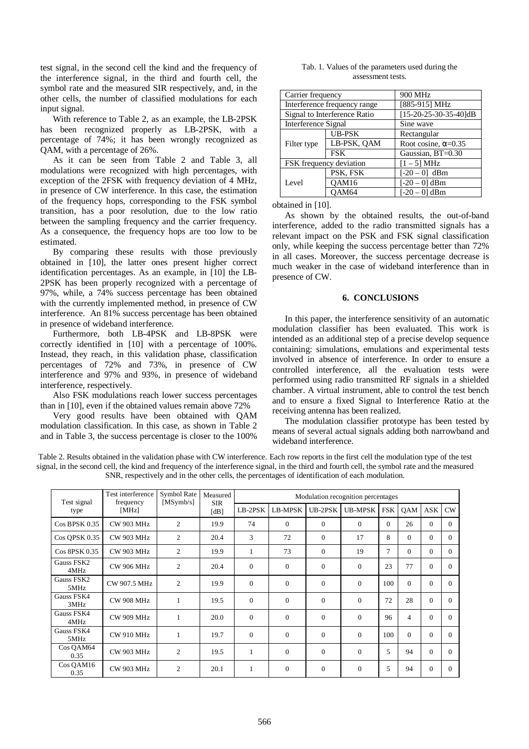test signal, in the second cell the kind and the frequency of the interference signal, in the third and fourth cell, the symbol rate and the measured SIR respectively, and, in the other cells, the number of classified modulations for each input signal.

With reference to Table 2, as an example, the LB-2PSK has been recognized properly as LB-2PSK, with a percentage of 74%; it has been wrongly recognized as QAM, with a percentage of 26%.

As it can be seen from Table 2 and Table 3, all modulations were recognized with high percentages, with exception of the 2FSK with frequency deviation of 4 MHz, in presence of CW interference. In this case, the estimation of the frequency hops, corresponding to the FSK symbol transition, has a poor resolution, due to the low ratio between the sampling frequency and the carrier frequency. As a consequence, the frequency hops are too low to be estimated.

By comparing these results with those previously obtained in [10], the latter ones present higher correct identification percentages. As an example, in [10] the LB-2PSK has been properly recognized with a percentage of 97%, while, a 74% success percentage has been obtained with the currently implemented method, in presence of CW interference. An 81% success percentage has been obtained in presence of wideband interference.

Furthermore, both LB-4PSK and LB-8PSK were correctly identified in [10] with a percentage of 100%. Instead, they reach, in this validation phase, classification percentages of 72% and 73%, in presence of CW interference and 97% and 93%, in presence of wideband interference, respectively.

Also FSK modulations reach lower success percentages than in [10], even if the obtained values remain above 72%

Very good results have been obtained with QAM modulation classification. In this case, as shown in Table 2 and in Table 3, the success percentage is closer to the 100%

| Tab. 1. Values of the parameters used during the |  |  |  |  |  |  |  |
|--------------------------------------------------|--|--|--|--|--|--|--|
| assessment tests.                                |  |  |  |  |  |  |  |

| Carrier frequency   |                              | 900 MHz                     |  |  |  |  |
|---------------------|------------------------------|-----------------------------|--|--|--|--|
|                     | Interference frequency range | [885-915] MHz               |  |  |  |  |
|                     | Signal to Interference Ratio | $[15-20-25-30-35-40]dB$     |  |  |  |  |
| Interference Signal |                              | Sine wave                   |  |  |  |  |
|                     | <b>UB-PSK</b>                | Rectangular                 |  |  |  |  |
| Filter type         | LB-PSK, OAM                  | Root cosine, $\alpha$ =0.35 |  |  |  |  |
|                     | <b>FSK</b>                   | Gaussian, BT=0.30           |  |  |  |  |
|                     | FSK frequency deviation      | $[1 - 5] MHz$               |  |  |  |  |
|                     | PSK, FSK                     | $[-20 - 0]$ dBm             |  |  |  |  |
| Level               | OAM16                        | $[-20 - 0]$ dBm             |  |  |  |  |
|                     | OAM64                        | $[-20 - 0]$ dBm             |  |  |  |  |

obtained in [10].

As shown by the obtained results, the out-of-band interference, added to the radio transmitted signals has a relevant impact on the PSK and FSK signal classification only, while keeping the success percentage better than 72% in all cases. Moreover, the success percentage decrease is much weaker in the case of wideband interference than in presence of CW.

## **6. CONCLUSIONS**

In this paper, the interference sensitivity of an automatic modulation classifier has been evaluated. This work is intended as an additional step of a precise develop sequence containing: simulations, emulations and experimental tests involved in absence of interference. In order to ensure a controlled interference, all the evaluation tests were performed using radio transmitted RF signals in a shielded chamber. A virtual instrument, able to control the test bench and to ensure a fixed Signal to Interference Ratio at the receiving antenna has been realized.

The modulation classifier prototype has been tested by means of several actual signals adding both narrowband and wideband interference.

Table 2. Results obtained in the validation phase with CW interference. Each row reports in the first cell the modulation type of the test signal, in the second cell, the kind and frequency of the interference signal, in the third and fourth cell, the symbol rate and the measured SNR, respectively and in the other cells, the percentages of identification of each modulation.

| Test signal        | Test interference<br>frequency<br>[MHz] | Symbol Rate<br>[MSymb/s] | Measured<br><b>SIR</b><br>[dB] | Modulation recognition percentages |                |                |                |            |                |              |          |  |
|--------------------|-----------------------------------------|--------------------------|--------------------------------|------------------------------------|----------------|----------------|----------------|------------|----------------|--------------|----------|--|
| type               |                                         |                          |                                | LB-2PSK                            | <b>LB-MPSK</b> | UB-2PSK        | <b>UB-MPSK</b> | <b>FSK</b> | QAM            | ASK          | CW       |  |
| $Cos$ BPSK $0.35$  | <b>CW 903 MHz</b>                       | $\overline{2}$           | 19.9                           | 74                                 | $\Omega$       | $\Omega$       | $\Omega$       | $\Omega$   | 26             | $\Omega$     | $\Omega$ |  |
| Cos QPSK 0.35      | <b>CW 903 MHz</b>                       | 2                        | 20.4                           | 3                                  | 72             | $\Omega$       | 17             | 8          | $\Omega$       | $\theta$     | $\Omega$ |  |
| Cos 8PSK 0.35      | <b>CW 903 MHz</b>                       | 2                        | 19.9                           | 1                                  | 73             | $\overline{0}$ | 19             | 7          | $\Omega$       | $\Omega$     | $\Omega$ |  |
| Gauss FSK2<br>4MHz | <b>CW 906 MHz</b>                       | $\overline{c}$           | 20.4                           | $\Omega$                           | $\Omega$       | $\Omega$       | $\overline{0}$ | 23         | 77             | $\Omega$     | $\Omega$ |  |
| Gauss FSK2<br>5MHz | CW 907.5 MHz                            | $\overline{2}$           | 19.9                           | $\theta$                           | $\mathbf{0}$   | $\Omega$       | $\Omega$       | 100        | $\Omega$       | $\Omega$     | $\Omega$ |  |
| Gauss FSK4<br>3MHz | <b>CW 908 MHz</b>                       | 1                        | 19.5                           | $\Omega$                           | $\Omega$       | $\Omega$       | $\Omega$       | 72         | 28             | $\Omega$     | 0        |  |
| Gauss FSK4<br>4MHz | <b>CW 909 MHz</b>                       | 1                        | 20.0                           | $\Omega$                           | $\Omega$       | $\Omega$       | $\Omega$       | 96         | $\overline{4}$ | $\Omega$     | 0        |  |
| Gauss FSK4<br>5MHz | <b>CW 910 MHz</b>                       | 1                        | 19.7                           | $\Omega$                           | $\Omega$       | $\Omega$       | $\Omega$       | 100        | $\Omega$       | $\Omega$     | $\Omega$ |  |
| Cos QAM64<br>0.35  | <b>CW 903 MHz</b>                       | $\overline{c}$           | 19.5                           | 1                                  | $\Omega$       | $\Omega$       | $\Omega$       | 5          | 94             | $\Omega$     | $\Omega$ |  |
| Cos QAM16<br>0.35  | <b>CW 903 MHz</b>                       | $\overline{2}$           | 20.1                           | $\mathbf{1}$                       | $\mathbf{0}$   | $\mathbf{0}$   | $\overline{0}$ | 5          | 94             | $\mathbf{0}$ | $\Omega$ |  |